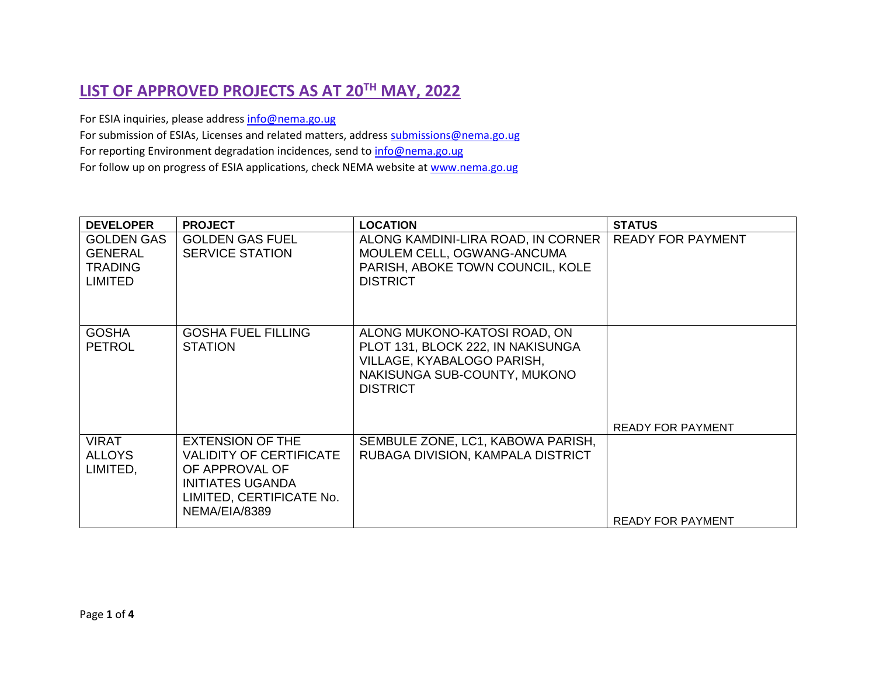## **LIST OF APPROVED PROJECTS AS AT 20TH MAY, 2022**

For ESIA inquiries, please addres[s info@nema.go.ug](mailto:info@nema.go.ug)

For submission of ESIAs, Licenses and related matters, address [submissions@nema.go.ug](mailto:submissions@nema.go.ug)

For reporting Environment degradation incidences, send t[o info@nema.go.ug](mailto:info@nema.go.ug)

For follow up on progress of ESIA applications, check NEMA website at [www.nema.go.ug](http://www.nema.go.ug/)

| <b>DEVELOPER</b>                                                        | <b>PROJECT</b>                                                                                                                               | <b>LOCATION</b>                                                                                                                                    | <b>STATUS</b>            |
|-------------------------------------------------------------------------|----------------------------------------------------------------------------------------------------------------------------------------------|----------------------------------------------------------------------------------------------------------------------------------------------------|--------------------------|
| <b>GOLDEN GAS</b><br><b>GENERAL</b><br><b>TRADING</b><br><b>LIMITED</b> | <b>GOLDEN GAS FUEL</b><br><b>SERVICE STATION</b>                                                                                             | ALONG KAMDINI-LIRA ROAD, IN CORNER<br>MOULEM CELL, OGWANG-ANCUMA<br>PARISH, ABOKE TOWN COUNCIL, KOLE<br><b>DISTRICT</b>                            | <b>READY FOR PAYMENT</b> |
| <b>GOSHA</b><br><b>PETROL</b>                                           | <b>GOSHA FUEL FILLING</b><br><b>STATION</b>                                                                                                  | ALONG MUKONO-KATOSI ROAD, ON<br>PLOT 131, BLOCK 222, IN NAKISUNGA<br>VILLAGE, KYABALOGO PARISH,<br>NAKISUNGA SUB-COUNTY, MUKONO<br><b>DISTRICT</b> | <b>READY FOR PAYMENT</b> |
| <b>VIRAT</b><br>ALLOYS<br>LIMITED,                                      | <b>EXTENSION OF THE</b><br>VALIDITY OF CERTIFICATE<br>OF APPROVAL OF<br><b>INITIATES UGANDA</b><br>LIMITED, CERTIFICATE No.<br>NEMA/EIA/8389 | SEMBULE ZONE, LC1, KABOWA PARISH,<br>RUBAGA DIVISION, KAMPALA DISTRICT                                                                             | <b>READY FOR PAYMENT</b> |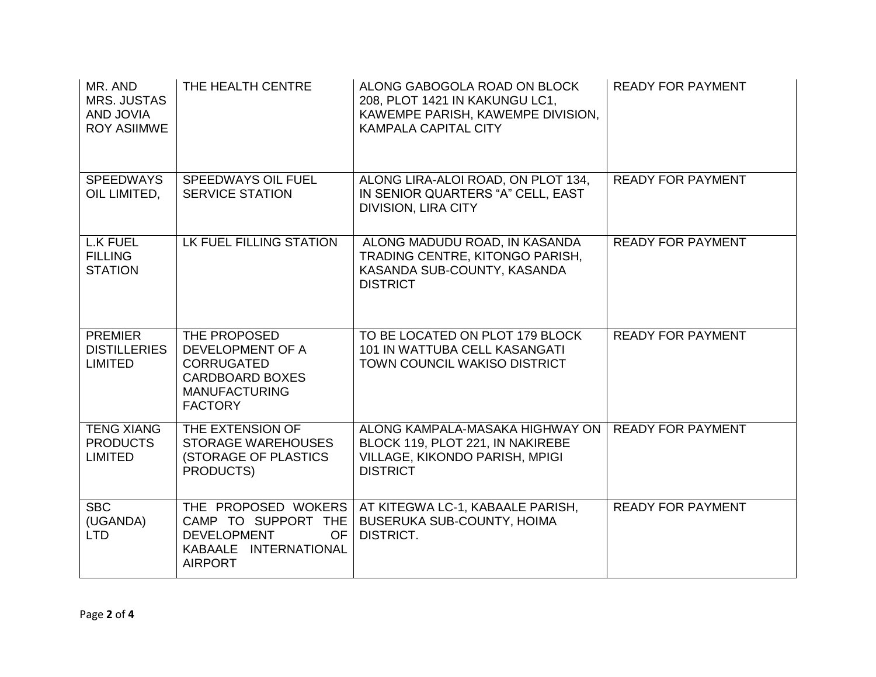| MR. AND<br><b>MRS. JUSTAS</b><br><b>AND JOVIA</b><br><b>ROY ASIIMWE</b> | THE HEALTH CENTRE                                                                                                         | ALONG GABOGOLA ROAD ON BLOCK<br>208, PLOT 1421 IN KAKUNGU LC1,<br>KAWEMPE PARISH, KAWEMPE DIVISION,<br><b>KAMPALA CAPITAL CITY</b> | <b>READY FOR PAYMENT</b> |
|-------------------------------------------------------------------------|---------------------------------------------------------------------------------------------------------------------------|------------------------------------------------------------------------------------------------------------------------------------|--------------------------|
| <b>SPEEDWAYS</b><br>OIL LIMITED,                                        | <b>SPEEDWAYS OIL FUEL</b><br><b>SERVICE STATION</b>                                                                       | ALONG LIRA-ALOI ROAD, ON PLOT 134,<br>IN SENIOR QUARTERS "A" CELL, EAST<br><b>DIVISION, LIRA CITY</b>                              | <b>READY FOR PAYMENT</b> |
| <b>L.K FUEL</b><br><b>FILLING</b><br><b>STATION</b>                     | LK FUEL FILLING STATION                                                                                                   | ALONG MADUDU ROAD, IN KASANDA<br>TRADING CENTRE, KITONGO PARISH,<br>KASANDA SUB-COUNTY, KASANDA<br><b>DISTRICT</b>                 | <b>READY FOR PAYMENT</b> |
| <b>PREMIER</b><br><b>DISTILLERIES</b><br><b>LIMITED</b>                 | THE PROPOSED<br>DEVELOPMENT OF A<br><b>CORRUGATED</b><br><b>CARDBOARD BOXES</b><br><b>MANUFACTURING</b><br><b>FACTORY</b> | TO BE LOCATED ON PLOT 179 BLOCK<br>101 IN WATTUBA CELL KASANGATI<br>TOWN COUNCIL WAKISO DISTRICT                                   | <b>READY FOR PAYMENT</b> |
| <b>TENG XIANG</b><br><b>PRODUCTS</b><br><b>LIMITED</b>                  | THE EXTENSION OF<br><b>STORAGE WAREHOUSES</b><br><b>(STORAGE OF PLASTICS</b><br>PRODUCTS)                                 | ALONG KAMPALA-MASAKA HIGHWAY ON<br>BLOCK 119, PLOT 221, IN NAKIREBE<br>VILLAGE, KIKONDO PARISH, MPIGI<br><b>DISTRICT</b>           | <b>READY FOR PAYMENT</b> |
| <b>SBC</b><br>(UGANDA)<br><b>LTD</b>                                    | THE PROPOSED WOKERS<br>CAMP TO SUPPORT THE<br><b>DEVELOPMENT</b><br><b>OF</b><br>KABAALE INTERNATIONAL<br><b>AIRPORT</b>  | AT KITEGWA LC-1, KABAALE PARISH,<br>BUSERUKA SUB-COUNTY, HOIMA<br>DISTRICT.                                                        | <b>READY FOR PAYMENT</b> |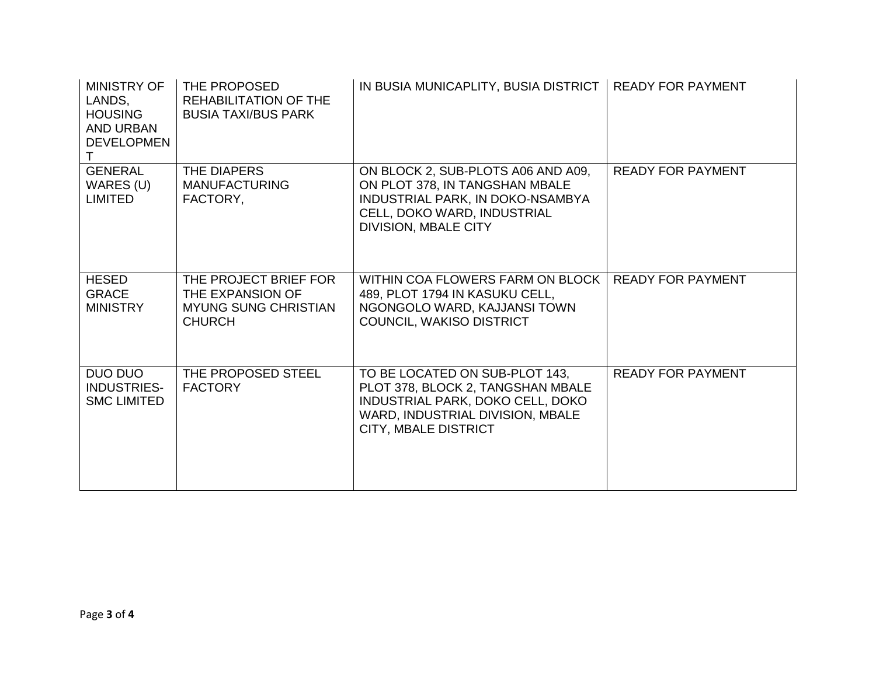| <b>MINISTRY OF</b><br>LANDS.<br><b>HOUSING</b><br>AND URBAN<br><b>DEVELOPMEN</b> | THE PROPOSED<br><b>REHABILITATION OF THE</b><br><b>BUSIA TAXI/BUS PARK</b>                | IN BUSIA MUNICAPLITY, BUSIA DISTRICT                                                                                                                                   | <b>READY FOR PAYMENT</b> |
|----------------------------------------------------------------------------------|-------------------------------------------------------------------------------------------|------------------------------------------------------------------------------------------------------------------------------------------------------------------------|--------------------------|
| <b>GENERAL</b><br>WARES (U)<br><b>LIMITED</b>                                    | THE DIAPERS<br><b>MANUFACTURING</b><br>FACTORY,                                           | ON BLOCK 2, SUB-PLOTS A06 AND A09,<br>ON PLOT 378, IN TANGSHAN MBALE<br>INDUSTRIAL PARK, IN DOKO-NSAMBYA<br>CELL, DOKO WARD, INDUSTRIAL<br><b>DIVISION, MBALE CITY</b> | <b>READY FOR PAYMENT</b> |
| <b>HESED</b><br><b>GRACE</b><br><b>MINISTRY</b>                                  | THE PROJECT BRIEF FOR<br>THE EXPANSION OF<br><b>MYUNG SUNG CHRISTIAN</b><br><b>CHURCH</b> | WITHIN COA FLOWERS FARM ON BLOCK<br>489, PLOT 1794 IN KASUKU CELL,<br>NGONGOLO WARD, KAJJANSI TOWN<br>COUNCIL, WAKISO DISTRICT                                         | <b>READY FOR PAYMENT</b> |
| DUO DUO<br><b>INDUSTRIES-</b><br><b>SMC LIMITED</b>                              | THE PROPOSED STEEL<br><b>FACTORY</b>                                                      | TO BE LOCATED ON SUB-PLOT 143,<br>PLOT 378, BLOCK 2, TANGSHAN MBALE<br>INDUSTRIAL PARK, DOKO CELL, DOKO<br>WARD, INDUSTRIAL DIVISION, MBALE<br>CITY, MBALE DISTRICT    | <b>READY FOR PAYMENT</b> |